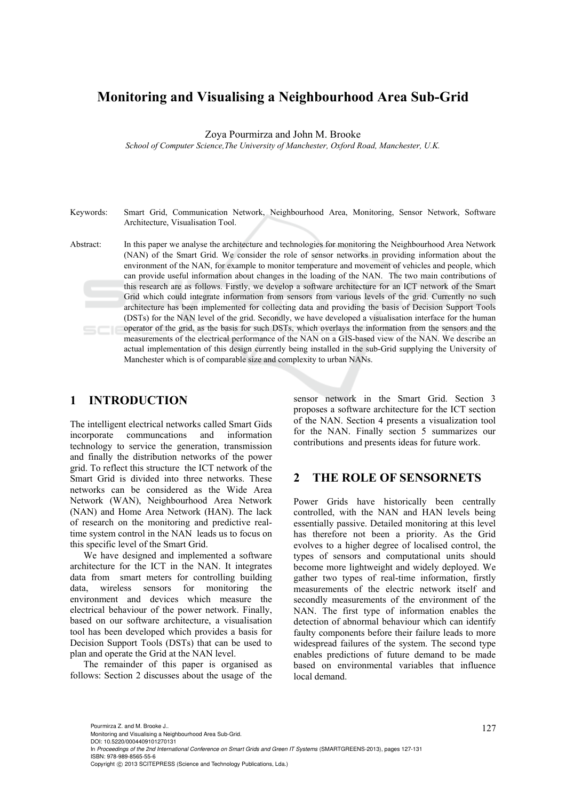# **Monitoring and Visualising a Neighbourhood Area Sub-Grid**

Zoya Pourmirza and John M. Brooke

*School of Computer Science,The University of Manchester, Oxford Road, Manchester, U.K.* 

Keywords: Smart Grid, Communication Network, Neighbourhood Area, Monitoring, Sensor Network, Software Architecture, Visualisation Tool. Abstract: In this paper we analyse the architecture and technologies for monitoring the Neighbourhood Area Network (NAN) of the Smart Grid. We consider the role of sensor networks in providing information about the environment of the NAN, for example to monitor temperature and movement of vehicles and people, which can provide useful information about changes in the loading of the NAN. The two main contributions of this research are as follows. Firstly, we develop a software architecture for an ICT network of the Smart Grid which could integrate information from sensors from various levels of the grid. Currently no such architecture has been implemented for collecting data and providing the basis of Decision Support Tools (DSTs) for the NAN level of the grid. Secondly, we have developed a visualisation interface for the human operator of the grid, as the basis for such DSTs, which overlays the information from the sensors and the measurements of the electrical performance of the NAN on a GIS-based view of the NAN. We describe an

Manchester which is of comparable size and complexity to urban NANs.

actual implementation of this design currently being installed in the sub-Grid supplying the University of

# **1 INTRODUCTION**

The intelligent electrical networks called Smart Gids incorporate communcations and information technology to service the generation, transmission and finally the distribution networks of the power grid. To reflect this structure the ICT network of the Smart Grid is divided into three networks. These networks can be considered as the Wide Area Network (WAN), Neighbourhood Area Network (NAN) and Home Area Network (HAN). The lack of research on the monitoring and predictive realtime system control in the NAN leads us to focus on this specific level of the Smart Grid.

We have designed and implemented a software architecture for the ICT in the NAN. It integrates data from smart meters for controlling building data, wireless sensors for monitoring the environment and devices which measure the electrical behaviour of the power network. Finally, based on our software architecture, a visualisation tool has been developed which provides a basis for Decision Support Tools (DSTs) that can be used to plan and operate the Grid at the NAN level.

The remainder of this paper is organised as follows: Section 2 discusses about the usage of the

sensor network in the Smart Grid. Section 3 proposes a software architecture for the ICT section of the NAN. Section 4 presents a visualization tool for the NAN. Finally section 5 summarizes our contributions and presents ideas for future work.

### **2 THE ROLE OF SENSORNETS**

Power Grids have historically been centrally controlled, with the NAN and HAN levels being essentially passive. Detailed monitoring at this level has therefore not been a priority. As the Grid evolves to a higher degree of localised control, the types of sensors and computational units should become more lightweight and widely deployed. We gather two types of real-time information, firstly measurements of the electric network itself and secondly measurements of the environment of the NAN. The first type of information enables the detection of abnormal behaviour which can identify faulty components before their failure leads to more widespread failures of the system. The second type enables predictions of future demand to be made based on environmental variables that influence local demand.

127 Pourmirza Z. and M. Brooke J.. Monitoring and Visualising a Neighbourhood Area Sub-Grid.

DOI: 10.5220/0004409101270131

In *Proceedings of the 2nd International Conference on Smart Grids and Green IT Systems* (SMARTGREENS-2013), pages 127-131 ISBN: 978-989-8565-55-6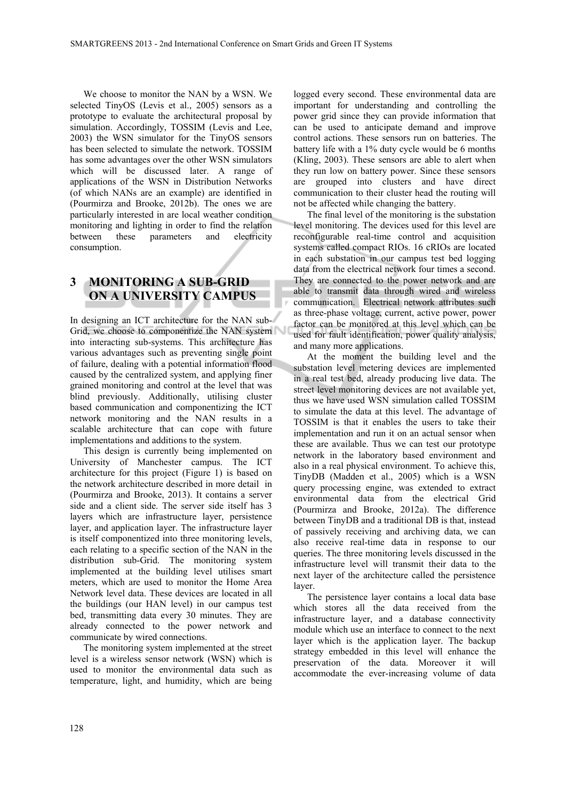We choose to monitor the NAN by a WSN. We selected TinyOS (Levis et al., 2005) sensors as a prototype to evaluate the architectural proposal by simulation. Accordingly, TOSSIM (Levis and Lee, 2003) the WSN simulator for the TinyOS sensors has been selected to simulate the network. TOSSIM has some advantages over the other WSN simulators which will be discussed later. A range of applications of the WSN in Distribution Networks (of which NANs are an example) are identified in (Pourmirza and Brooke, 2012b). The ones we are particularly interested in are local weather condition monitoring and lighting in order to find the relation between these parameters and electricity consumption.

# **3 MONITORING A SUB-GRID ON A UNIVERSITY CAMPUS**

In designing an ICT architecture for the NAN sub-Grid, we choose to componentize the NAN system into interacting sub-systems. This architecture has various advantages such as preventing single point of failure, dealing with a potential information flood caused by the centralized system, and applying finer grained monitoring and control at the level that was blind previously. Additionally, utilising cluster based communication and componentizing the ICT network monitoring and the NAN results in a scalable architecture that can cope with future implementations and additions to the system.

This design is currently being implemented on University of Manchester campus. The ICT architecture for this project (Figure 1) is based on the network architecture described in more detail in (Pourmirza and Brooke, 2013). It contains a server side and a client side. The server side itself has 3 layers which are infrastructure layer, persistence layer, and application layer. The infrastructure layer is itself componentized into three monitoring levels, each relating to a specific section of the NAN in the distribution sub-Grid. The monitoring system implemented at the building level utilises smart meters, which are used to monitor the Home Area Network level data. These devices are located in all the buildings (our HAN level) in our campus test bed, transmitting data every 30 minutes. They are already connected to the power network and communicate by wired connections.

The monitoring system implemented at the street level is a wireless sensor network (WSN) which is used to monitor the environmental data such as temperature, light, and humidity, which are being

logged every second. These environmental data are important for understanding and controlling the power grid since they can provide information that can be used to anticipate demand and improve control actions. These sensors run on batteries. The battery life with a 1% duty cycle would be 6 months (Kling, 2003). These sensors are able to alert when they run low on battery power. Since these sensors are grouped into clusters and have direct communication to their cluster head the routing will not be affected while changing the battery.

The final level of the monitoring is the substation level monitoring. The devices used for this level are reconfigurable real-time control and acquisition systems called compact RIOs. 16 cRIOs are located in each substation in our campus test bed logging data from the electrical network four times a second. They are connected to the power network and are able to transmit data through wired and wireless communication. Electrical network attributes such as three-phase voltage, current, active power, power factor can be monitored at this level which can be used for fault identification, power quality analysis, and many more applications.

At the moment the building level and the substation level metering devices are implemented in a real test bed, already producing live data. The street level monitoring devices are not available yet, thus we have used WSN simulation called TOSSIM to simulate the data at this level. The advantage of TOSSIM is that it enables the users to take their implementation and run it on an actual sensor when these are available. Thus we can test our prototype network in the laboratory based environment and also in a real physical environment. To achieve this, TinyDB (Madden et al., 2005) which is a WSN query processing engine, was extended to extract environmental data from the electrical Grid (Pourmirza and Brooke, 2012a). The difference between TinyDB and a traditional DB is that, instead of passively receiving and archiving data, we can also receive real-time data in response to our queries. The three monitoring levels discussed in the infrastructure level will transmit their data to the next layer of the architecture called the persistence layer.

The persistence layer contains a local data base which stores all the data received from the infrastructure layer, and a database connectivity module which use an interface to connect to the next layer which is the application layer. The backup strategy embedded in this level will enhance the preservation of the data. Moreover it will accommodate the ever-increasing volume of data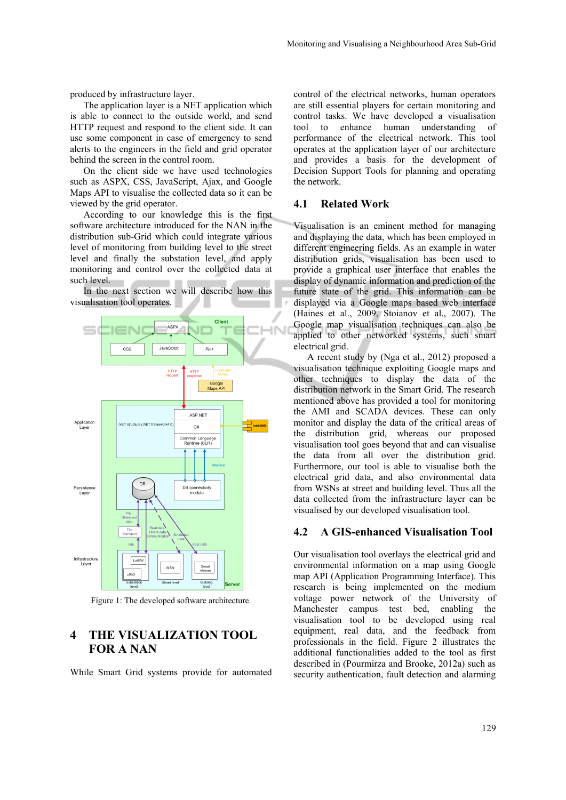produced by infrastructure layer.

The application layer is a NET application which is able to connect to the outside world, and send HTTP request and respond to the client side. It can use some component in case of emergency to send alerts to the engineers in the field and grid operator behind the screen in the control room.

On the client side we have used technologies such as ASPX, CSS, JavaScript, Ajax, and Google Maps API to visualise the collected data so it can be viewed by the grid operator.

According to our knowledge this is the first software architecture introduced for the NAN in the distribution sub-Grid which could integrate various level of monitoring from building level to the street level and finally the substation level, and apply monitoring and control over the collected data at such level.

In the next section we will describe how this visualisation tool operates.



Figure 1: The developed software architecture.

# **4 THE VISUALIZATION TOOL FOR A NAN**

While Smart Grid systems provide for automated

control of the electrical networks, human operators are still essential players for certain monitoring and control tasks. We have developed a visualisation tool to enhance human understanding of performance of the electrical network. This tool operates at the application layer of our architecture and provides a basis for the development of Decision Support Tools for planning and operating the network.

#### **4.1 Related Work**

Visualisation is an eminent method for managing and displaying the data, which has been employed in different engineering fields. As an example in water distribution grids, visualisation has been used to provide a graphical user interface that enables the display of dynamic information and prediction of the future state of the grid. This information can be displayed via a Google maps based web interface (Haines et al., 2009, Stoianov et al., 2007). The Google map visualisation techniques can also be applied to other networked systems, such smart electrical grid.

A recent study by (Nga et al., 2012) proposed a visualisation technique exploiting Google maps and other techniques to display the data of the distribution network in the Smart Grid. The research mentioned above has provided a tool for monitoring the AMI and SCADA devices. These can only monitor and display the data of the critical areas of the distribution grid, whereas our proposed visualisation tool goes beyond that and can visualise the data from all over the distribution grid. Furthermore, our tool is able to visualise both the electrical grid data, and also environmental data from WSNs at street and building level. Thus all the data collected from the infrastructure layer can be visualised by our developed visualisation tool.

#### **4.2 A GIS-enhanced Visualisation Tool**

Our visualisation tool overlays the electrical grid and environmental information on a map using Google map API (Application Programming Interface). This research is being implemented on the medium voltage power network of the University of Manchester campus test bed, enabling the visualisation tool to be developed using real equipment, real data, and the feedback from professionals in the field. Figure 2 illustrates the additional functionalities added to the tool as first described in (Pourmirza and Brooke, 2012a) such as security authentication, fault detection and alarming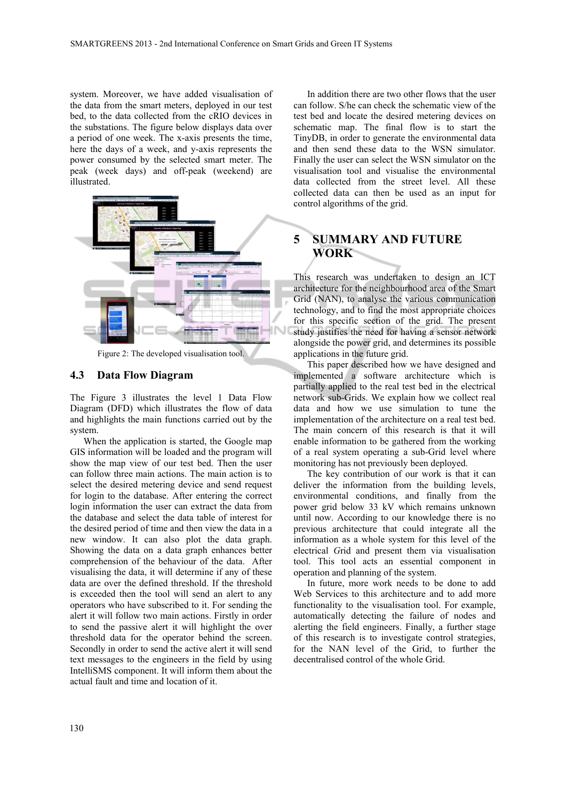system. Moreover, we have added visualisation of the data from the smart meters, deployed in our test bed, to the data collected from the cRIO devices in the substations. The figure below displays data over a period of one week. The x-axis presents the time, here the days of a week, and y-axis represents the power consumed by the selected smart meter. The peak (week days) and off-peak (weekend) are illustrated.



### Figure 2: The developed visualisation tool.

### **4.3 Data Flow Diagram**

The Figure 3 illustrates the level 1 Data Flow Diagram (DFD) which illustrates the flow of data and highlights the main functions carried out by the system.

When the application is started, the Google map GIS information will be loaded and the program will show the map view of our test bed. Then the user can follow three main actions. The main action is to select the desired metering device and send request for login to the database. After entering the correct login information the user can extract the data from the database and select the data table of interest for the desired period of time and then view the data in a new window. It can also plot the data graph. Showing the data on a data graph enhances better comprehension of the behaviour of the data. After visualising the data, it will determine if any of these data are over the defined threshold. If the threshold is exceeded then the tool will send an alert to any operators who have subscribed to it. For sending the alert it will follow two main actions. Firstly in order to send the passive alert it will highlight the over threshold data for the operator behind the screen. Secondly in order to send the active alert it will send text messages to the engineers in the field by using IntelliSMS component. It will inform them about the actual fault and time and location of it.

In addition there are two other flows that the user can follow. S/he can check the schematic view of the test bed and locate the desired metering devices on schematic map. The final flow is to start the TinyDB, in order to generate the environmental data and then send these data to the WSN simulator. Finally the user can select the WSN simulator on the visualisation tool and visualise the environmental data collected from the street level. All these collected data can then be used as an input for control algorithms of the grid.

# **5 SUMMARY AND FUTURE WORK**

This research was undertaken to design an ICT architecture for the neighbourhood area of the Smart Grid (NAN), to analyse the various communication technology, and to find the most appropriate choices for this specific section of the grid. The present study justifies the need for having a sensor network alongside the power grid, and determines its possible applications in the future grid.

This paper described how we have designed and implemented a software architecture which is partially applied to the real test bed in the electrical network sub-Grids. We explain how we collect real data and how we use simulation to tune the implementation of the architecture on a real test bed. The main concern of this research is that it will enable information to be gathered from the working of a real system operating a sub-Grid level where monitoring has not previously been deployed.

The key contribution of our work is that it can deliver the information from the building levels, environmental conditions, and finally from the power grid below 33 kV which remains unknown until now. According to our knowledge there is no previous architecture that could integrate all the information as a whole system for this level of the electrical *G*rid and present them via visualisation tool. This tool acts an essential component in operation and planning of the system.

In future, more work needs to be done to add Web Services to this architecture and to add more functionality to the visualisation tool. For example, automatically detecting the failure of nodes and alerting the field engineers. Finally, a further stage of this research is to investigate control strategies, for the NAN level of the Grid, to further the decentralised control of the whole Grid.